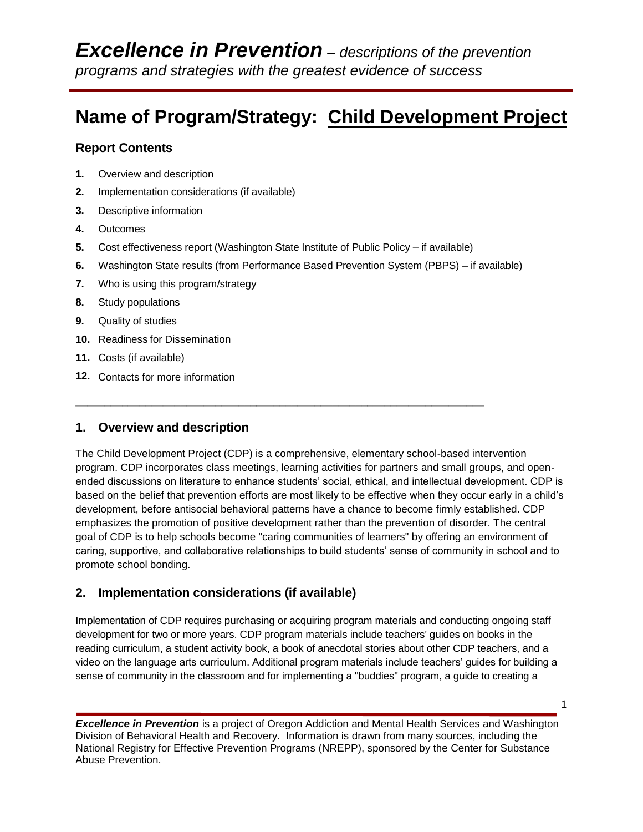# **Name of Program/Strategy: Child Development Project**

## **Report Contents**

- **1.** Overview and description
- **2.** Implementation considerations (if available)
- **3.** Descriptive information
- **4.** Outcomes
- **5.** Cost effectiveness report (Washington State Institute of Public Policy if available)

**\_\_\_\_\_\_\_\_\_\_\_\_\_\_\_\_\_\_\_\_\_\_\_\_\_\_\_\_\_\_\_\_\_\_\_\_\_\_\_\_\_\_\_\_\_\_\_\_\_\_\_\_\_\_\_\_\_\_\_\_\_\_\_\_\_\_\_\_\_\_**

- **6.** Washington State results (from Performance Based Prevention System (PBPS) if available)
- **7.** Who is using this program/strategy
- **8.** Study populations
- **9.** Quality of studies
- **10.** Readiness for Dissemination
- **11.** Costs (if available)
- **12.** Contacts for more information

## **1. Overview and description**

The Child Development Project (CDP) is a comprehensive, elementary school-based intervention program. CDP incorporates class meetings, learning activities for partners and small groups, and openended discussions on literature to enhance students' social, ethical, and intellectual development. CDP is based on the belief that prevention efforts are most likely to be effective when they occur early in a child's development, before antisocial behavioral patterns have a chance to become firmly established. CDP emphasizes the promotion of positive development rather than the prevention of disorder. The central goal of CDP is to help schools become "caring communities of learners" by offering an environment of caring, supportive, and collaborative relationships to build students' sense of community in school and to promote school bonding.

## **2. Implementation considerations (if available)**

Implementation of CDP requires purchasing or acquiring program materials and conducting ongoing staff development for two or more years. CDP program materials include teachers' guides on books in the reading curriculum, a student activity book, a book of anecdotal stories about other CDP teachers, and a video on the language arts curriculum. Additional program materials include teachers' guides for building a sense of community in the classroom and for implementing a "buddies" program, a guide to creating a

*Excellence in Prevention* is a project of Oregon Addiction and Mental Health Services and Washington Division of Behavioral Health and Recovery. Information is drawn from many sources, including the National Registry for Effective Prevention Programs (NREPP), sponsored by the Center for Substance Abuse Prevention.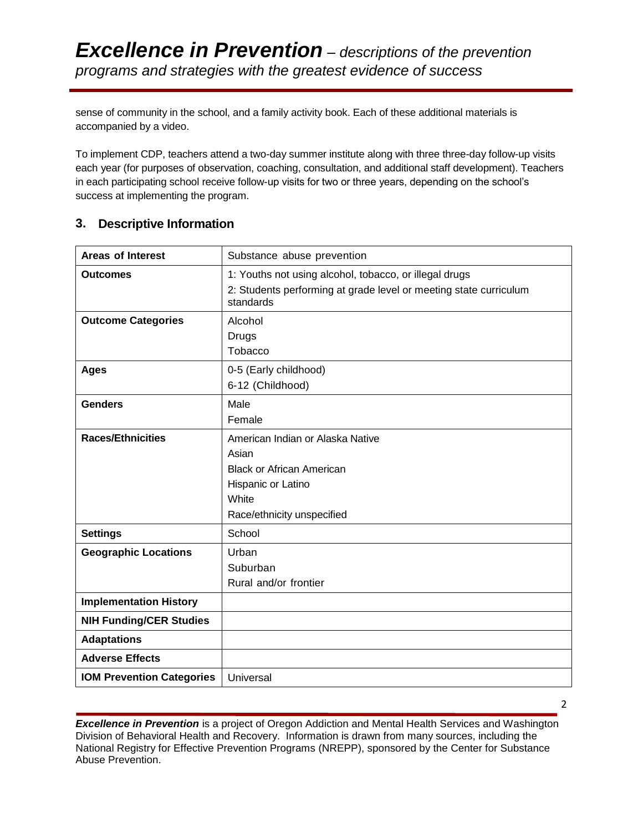sense of community in the school, and a family activity book. Each of these additional materials is accompanied by a video.

To implement CDP, teachers attend a two-day summer institute along with three three-day follow-up visits each year (for purposes of observation, coaching, consultation, and additional staff development). Teachers in each participating school receive follow-up visits for two or three years, depending on the school's success at implementing the program.

## **3. Descriptive Information**

| <b>Areas of Interest</b>         | Substance abuse prevention                                                                                                                 |
|----------------------------------|--------------------------------------------------------------------------------------------------------------------------------------------|
| <b>Outcomes</b>                  | 1: Youths not using alcohol, tobacco, or illegal drugs<br>2: Students performing at grade level or meeting state curriculum<br>standards   |
| <b>Outcome Categories</b>        | Alcohol<br>Drugs<br>Tobacco                                                                                                                |
| <b>Ages</b>                      | 0-5 (Early childhood)<br>6-12 (Childhood)                                                                                                  |
| <b>Genders</b>                   | Male<br>Female                                                                                                                             |
| <b>Races/Ethnicities</b>         | American Indian or Alaska Native<br>Asian<br><b>Black or African American</b><br>Hispanic or Latino<br>White<br>Race/ethnicity unspecified |
| <b>Settings</b>                  | School                                                                                                                                     |
| <b>Geographic Locations</b>      | Urban<br>Suburban<br>Rural and/or frontier                                                                                                 |
| <b>Implementation History</b>    |                                                                                                                                            |
| <b>NIH Funding/CER Studies</b>   |                                                                                                                                            |
| <b>Adaptations</b>               |                                                                                                                                            |
| <b>Adverse Effects</b>           |                                                                                                                                            |
| <b>IOM Prevention Categories</b> | Universal                                                                                                                                  |

*Excellence in Prevention* is a project of Oregon Addiction and Mental Health Services and Washington Division of Behavioral Health and Recovery. Information is drawn from many sources, including the National Registry for Effective Prevention Programs (NREPP), sponsored by the Center for Substance Abuse Prevention.

2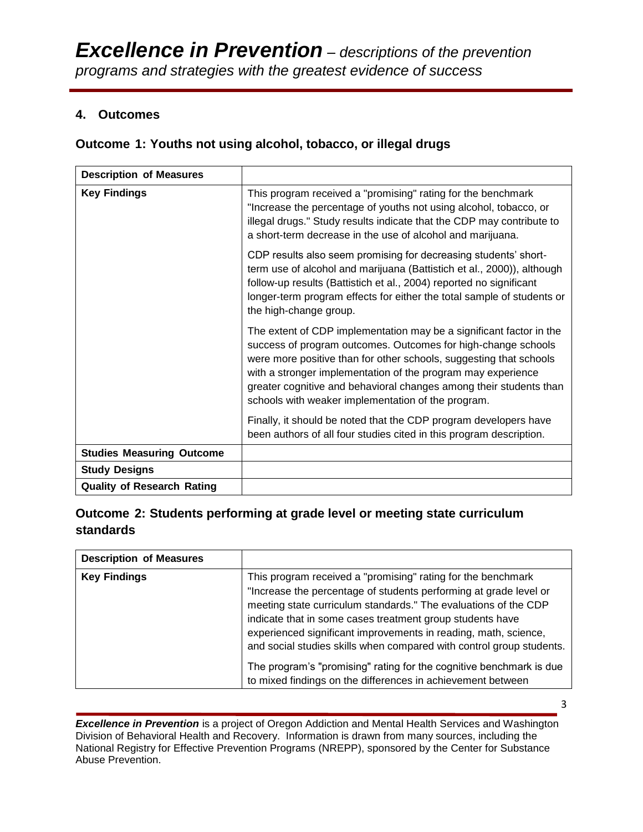## **4. Outcomes**

## **Outcome 1: Youths not using alcohol, tobacco, or illegal drugs**

| <b>Description of Measures</b>    |                                                                                                                                                                                                                                                                                                                                                                                                        |
|-----------------------------------|--------------------------------------------------------------------------------------------------------------------------------------------------------------------------------------------------------------------------------------------------------------------------------------------------------------------------------------------------------------------------------------------------------|
| <b>Key Findings</b>               | This program received a "promising" rating for the benchmark<br>"Increase the percentage of youths not using alcohol, tobacco, or<br>illegal drugs." Study results indicate that the CDP may contribute to<br>a short-term decrease in the use of alcohol and marijuana.                                                                                                                               |
|                                   | CDP results also seem promising for decreasing students' short-<br>term use of alcohol and marijuana (Battistich et al., 2000)), although<br>follow-up results (Battistich et al., 2004) reported no significant<br>longer-term program effects for either the total sample of students or<br>the high-change group.                                                                                   |
|                                   | The extent of CDP implementation may be a significant factor in the<br>success of program outcomes. Outcomes for high-change schools<br>were more positive than for other schools, suggesting that schools<br>with a stronger implementation of the program may experience<br>greater cognitive and behavioral changes among their students than<br>schools with weaker implementation of the program. |
|                                   | Finally, it should be noted that the CDP program developers have<br>been authors of all four studies cited in this program description.                                                                                                                                                                                                                                                                |
| <b>Studies Measuring Outcome</b>  |                                                                                                                                                                                                                                                                                                                                                                                                        |
| <b>Study Designs</b>              |                                                                                                                                                                                                                                                                                                                                                                                                        |
| <b>Quality of Research Rating</b> |                                                                                                                                                                                                                                                                                                                                                                                                        |

## **Outcome 2: Students performing at grade level or meeting state curriculum standards**

| <b>Description of Measures</b> |                                                                                                                                                                                                                                                                                                                                                                                                                                                                                     |
|--------------------------------|-------------------------------------------------------------------------------------------------------------------------------------------------------------------------------------------------------------------------------------------------------------------------------------------------------------------------------------------------------------------------------------------------------------------------------------------------------------------------------------|
| <b>Key Findings</b>            | This program received a "promising" rating for the benchmark<br>"Increase the percentage of students performing at grade level or<br>meeting state curriculum standards." The evaluations of the CDP<br>indicate that in some cases treatment group students have<br>experienced significant improvements in reading, math, science,<br>and social studies skills when compared with control group students.<br>The program's "promising" rating for the cognitive benchmark is due |
|                                | to mixed findings on the differences in achievement between                                                                                                                                                                                                                                                                                                                                                                                                                         |

**Excellence in Prevention** is a project of Oregon Addiction and Mental Health Services and Washington Division of Behavioral Health and Recovery. Information is drawn from many sources, including the National Registry for Effective Prevention Programs (NREPP), sponsored by the Center for Substance Abuse Prevention.

3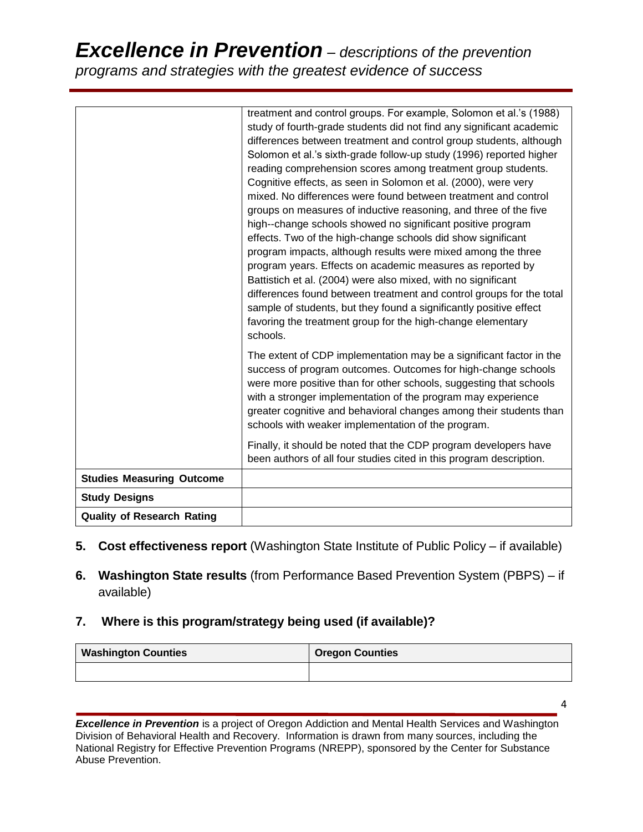# *Excellence in Prevention – descriptions of the prevention programs and strategies with the greatest evidence of success*

|                                   | treatment and control groups. For example, Solomon et al.'s (1988)      |
|-----------------------------------|-------------------------------------------------------------------------|
|                                   | study of fourth-grade students did not find any significant academic    |
|                                   | differences between treatment and control group students, although      |
|                                   | Solomon et al.'s sixth-grade follow-up study (1996) reported higher     |
|                                   | reading comprehension scores among treatment group students.            |
|                                   | Cognitive effects, as seen in Solomon et al. (2000), were very          |
|                                   | mixed. No differences were found between treatment and control          |
|                                   | groups on measures of inductive reasoning, and three of the five        |
|                                   | high--change schools showed no significant positive program             |
|                                   | effects. Two of the high-change schools did show significant            |
|                                   | program impacts, although results were mixed among the three            |
|                                   | program years. Effects on academic measures as reported by              |
|                                   | Battistich et al. (2004) were also mixed, with no significant           |
|                                   | differences found between treatment and control groups for the total    |
|                                   | sample of students, but they found a significantly positive effect      |
|                                   | favoring the treatment group for the high-change elementary<br>schools. |
|                                   |                                                                         |
|                                   | The extent of CDP implementation may be a significant factor in the     |
|                                   | success of program outcomes. Outcomes for high-change schools           |
|                                   | were more positive than for other schools, suggesting that schools      |
|                                   | with a stronger implementation of the program may experience            |
|                                   | greater cognitive and behavioral changes among their students than      |
|                                   | schools with weaker implementation of the program.                      |
|                                   | Finally, it should be noted that the CDP program developers have        |
|                                   | been authors of all four studies cited in this program description.     |
| <b>Studies Measuring Outcome</b>  |                                                                         |
| <b>Study Designs</b>              |                                                                         |
| <b>Quality of Research Rating</b> |                                                                         |

- **5. Cost effectiveness report** (Washington State Institute of Public Policy if available)
- **6. Washington State results** (from Performance Based Prevention System (PBPS) if available)

## **7. Where is this program/strategy being used (if available)?**

| <b>Washington Counties</b> | <b>Oregon Counties</b> |
|----------------------------|------------------------|
|                            |                        |

**Excellence in Prevention** is a project of Oregon Addiction and Mental Health Services and Washington Division of Behavioral Health and Recovery. Information is drawn from many sources, including the National Registry for Effective Prevention Programs (NREPP), sponsored by the Center for Substance Abuse Prevention.

4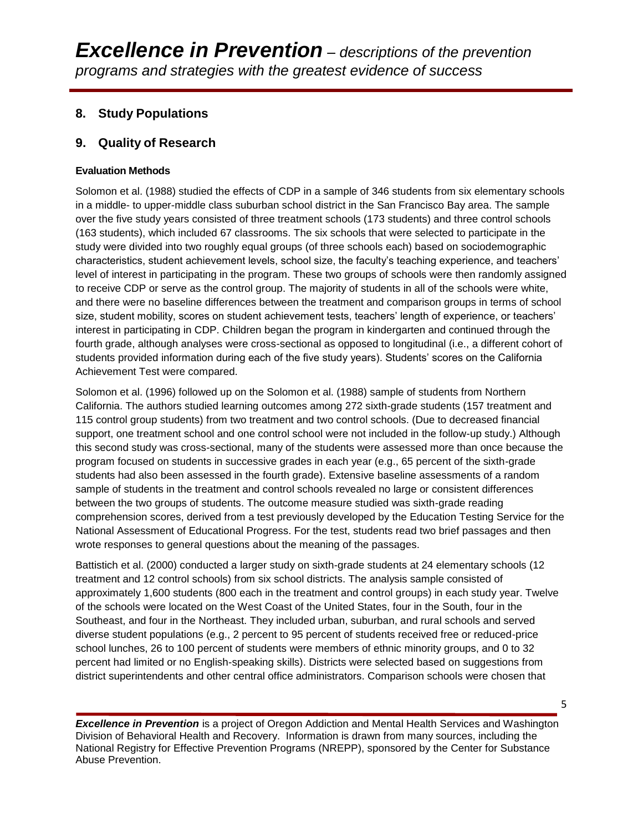## **8. Study Populations**

## **9. Quality of Research**

### **Evaluation Methods**

Solomon et al. (1988) studied the effects of CDP in a sample of 346 students from six elementary schools in a middle- to upper-middle class suburban school district in the San Francisco Bay area. The sample over the five study years consisted of three treatment schools (173 students) and three control schools (163 students), which included 67 classrooms. The six schools that were selected to participate in the study were divided into two roughly equal groups (of three schools each) based on sociodemographic characteristics, student achievement levels, school size, the faculty's teaching experience, and teachers' level of interest in participating in the program. These two groups of schools were then randomly assigned to receive CDP or serve as the control group. The majority of students in all of the schools were white, and there were no baseline differences between the treatment and comparison groups in terms of school size, student mobility, scores on student achievement tests, teachers' length of experience, or teachers' interest in participating in CDP. Children began the program in kindergarten and continued through the fourth grade, although analyses were cross-sectional as opposed to longitudinal (i.e., a different cohort of students provided information during each of the five study years). Students' scores on the California Achievement Test were compared.

Solomon et al. (1996) followed up on the Solomon et al. (1988) sample of students from Northern California. The authors studied learning outcomes among 272 sixth-grade students (157 treatment and 115 control group students) from two treatment and two control schools. (Due to decreased financial support, one treatment school and one control school were not included in the follow-up study.) Although this second study was cross-sectional, many of the students were assessed more than once because the program focused on students in successive grades in each year (e.g., 65 percent of the sixth-grade students had also been assessed in the fourth grade). Extensive baseline assessments of a random sample of students in the treatment and control schools revealed no large or consistent differences between the two groups of students. The outcome measure studied was sixth-grade reading comprehension scores, derived from a test previously developed by the Education Testing Service for the National Assessment of Educational Progress. For the test, students read two brief passages and then wrote responses to general questions about the meaning of the passages.

Battistich et al. (2000) conducted a larger study on sixth-grade students at 24 elementary schools (12 treatment and 12 control schools) from six school districts. The analysis sample consisted of approximately 1,600 students (800 each in the treatment and control groups) in each study year. Twelve of the schools were located on the West Coast of the United States, four in the South, four in the Southeast, and four in the Northeast. They included urban, suburban, and rural schools and served diverse student populations (e.g., 2 percent to 95 percent of students received free or reduced-price school lunches, 26 to 100 percent of students were members of ethnic minority groups, and 0 to 32 percent had limited or no English-speaking skills). Districts were selected based on suggestions from district superintendents and other central office administrators. Comparison schools were chosen that

*Excellence in Prevention* is a project of Oregon Addiction and Mental Health Services and Washington Division of Behavioral Health and Recovery. Information is drawn from many sources, including the National Registry for Effective Prevention Programs (NREPP), sponsored by the Center for Substance Abuse Prevention.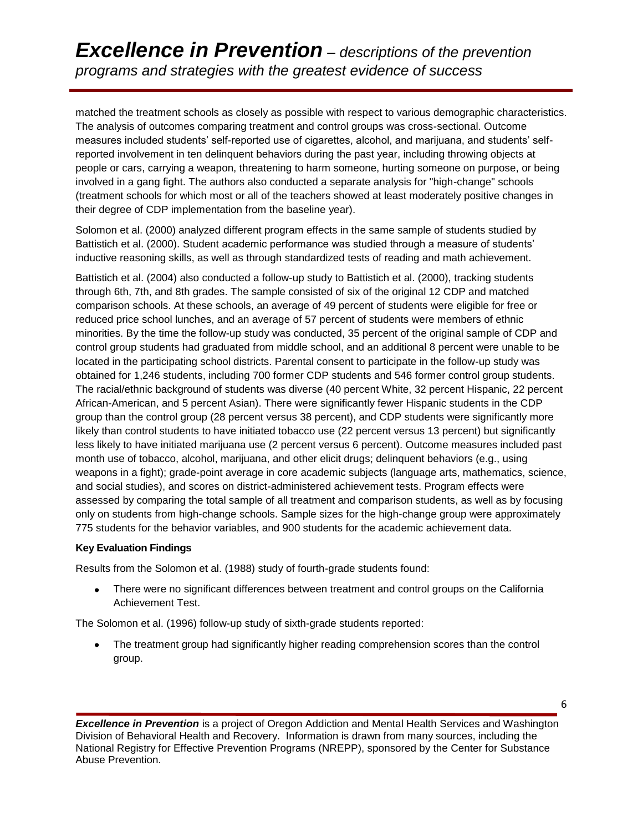# *Excellence in Prevention – descriptions of the prevention programs and strategies with the greatest evidence of success*

matched the treatment schools as closely as possible with respect to various demographic characteristics. The analysis of outcomes comparing treatment and control groups was cross-sectional. Outcome measures included students' self-reported use of cigarettes, alcohol, and marijuana, and students' selfreported involvement in ten delinquent behaviors during the past year, including throwing objects at people or cars, carrying a weapon, threatening to harm someone, hurting someone on purpose, or being involved in a gang fight. The authors also conducted a separate analysis for "high-change" schools (treatment schools for which most or all of the teachers showed at least moderately positive changes in their degree of CDP implementation from the baseline year).

Solomon et al. (2000) analyzed different program effects in the same sample of students studied by Battistich et al. (2000). Student academic performance was studied through a measure of students' inductive reasoning skills, as well as through standardized tests of reading and math achievement.

Battistich et al. (2004) also conducted a follow-up study to Battistich et al. (2000), tracking students through 6th, 7th, and 8th grades. The sample consisted of six of the original 12 CDP and matched comparison schools. At these schools, an average of 49 percent of students were eligible for free or reduced price school lunches, and an average of 57 percent of students were members of ethnic minorities. By the time the follow-up study was conducted, 35 percent of the original sample of CDP and control group students had graduated from middle school, and an additional 8 percent were unable to be located in the participating school districts. Parental consent to participate in the follow-up study was obtained for 1,246 students, including 700 former CDP students and 546 former control group students. The racial/ethnic background of students was diverse (40 percent White, 32 percent Hispanic, 22 percent African-American, and 5 percent Asian). There were significantly fewer Hispanic students in the CDP group than the control group (28 percent versus 38 percent), and CDP students were significantly more likely than control students to have initiated tobacco use (22 percent versus 13 percent) but significantly less likely to have initiated marijuana use (2 percent versus 6 percent). Outcome measures included past month use of tobacco, alcohol, marijuana, and other elicit drugs; delinquent behaviors (e.g., using weapons in a fight); grade-point average in core academic subjects (language arts, mathematics, science, and social studies), and scores on district-administered achievement tests. Program effects were assessed by comparing the total sample of all treatment and comparison students, as well as by focusing only on students from high-change schools. Sample sizes for the high-change group were approximately 775 students for the behavior variables, and 900 students for the academic achievement data.

### **Key Evaluation Findings**

Results from the Solomon et al. (1988) study of fourth-grade students found:

There were no significant differences between treatment and control groups on the California Achievement Test.

The Solomon et al. (1996) follow-up study of sixth-grade students reported:

The treatment group had significantly higher reading comprehension scores than the control group.

*Excellence in Prevention* is a project of Oregon Addiction and Mental Health Services and Washington Division of Behavioral Health and Recovery. Information is drawn from many sources, including the National Registry for Effective Prevention Programs (NREPP), sponsored by the Center for Substance Abuse Prevention.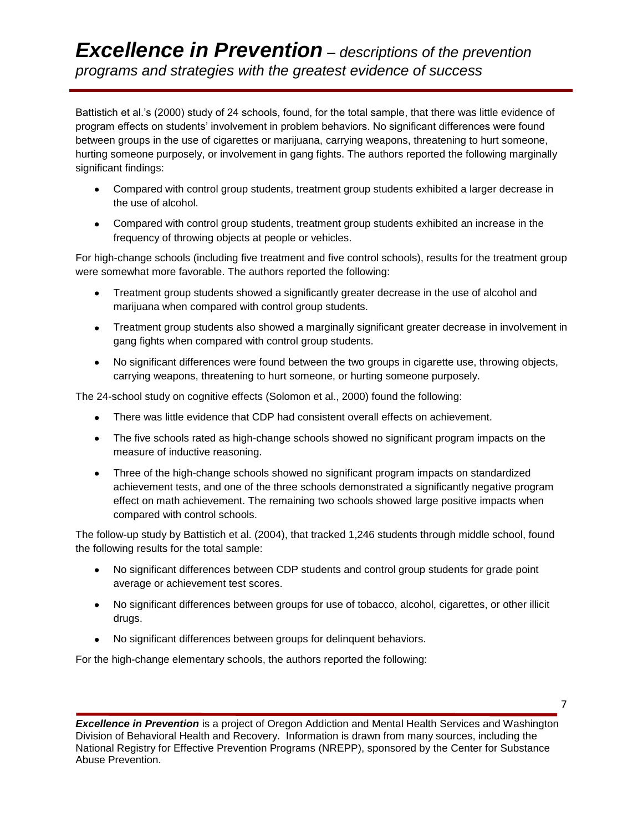Battistich et al.'s (2000) study of 24 schools, found, for the total sample, that there was little evidence of program effects on students' involvement in problem behaviors. No significant differences were found between groups in the use of cigarettes or marijuana, carrying weapons, threatening to hurt someone, hurting someone purposely, or involvement in gang fights. The authors reported the following marginally significant findings:

- Compared with control group students, treatment group students exhibited a larger decrease in the use of alcohol.
- Compared with control group students, treatment group students exhibited an increase in the frequency of throwing objects at people or vehicles.

For high-change schools (including five treatment and five control schools), results for the treatment group were somewhat more favorable. The authors reported the following:

- Treatment group students showed a significantly greater decrease in the use of alcohol and marijuana when compared with control group students.
- Treatment group students also showed a marginally significant greater decrease in involvement in gang fights when compared with control group students.
- No significant differences were found between the two groups in cigarette use, throwing objects, carrying weapons, threatening to hurt someone, or hurting someone purposely.

The 24-school study on cognitive effects (Solomon et al., 2000) found the following:

- There was little evidence that CDP had consistent overall effects on achievement.
- The five schools rated as high-change schools showed no significant program impacts on the measure of inductive reasoning.
- Three of the high-change schools showed no significant program impacts on standardized achievement tests, and one of the three schools demonstrated a significantly negative program effect on math achievement. The remaining two schools showed large positive impacts when compared with control schools.

The follow-up study by Battistich et al. (2004), that tracked 1,246 students through middle school, found the following results for the total sample:

- No significant differences between CDP students and control group students for grade point average or achievement test scores.
- No significant differences between groups for use of tobacco, alcohol, cigarettes, or other illicit drugs.
- No significant differences between groups for delinquent behaviors.

For the high-change elementary schools, the authors reported the following:

*Excellence in Prevention* is a project of Oregon Addiction and Mental Health Services and Washington Division of Behavioral Health and Recovery. Information is drawn from many sources, including the National Registry for Effective Prevention Programs (NREPP), sponsored by the Center for Substance Abuse Prevention.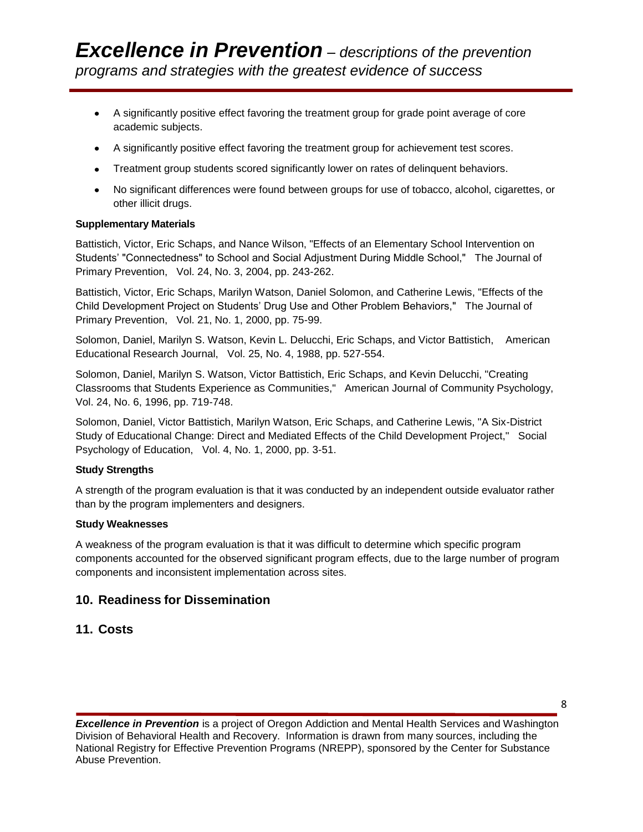- A significantly positive effect favoring the treatment group for grade point average of core academic subjects.
- A significantly positive effect favoring the treatment group for achievement test scores.
- Treatment group students scored significantly lower on rates of delinquent behaviors.
- No significant differences were found between groups for use of tobacco, alcohol, cigarettes, or other illicit drugs.

#### **Supplementary Materials**

Battistich, Victor, Eric Schaps, and Nance Wilson, "Effects of an Elementary School Intervention on Students' "Connectedness" to School and Social Adjustment During Middle School," The Journal of Primary Prevention, Vol. 24, No. 3, 2004, pp. 243-262.

Battistich, Victor, Eric Schaps, Marilyn Watson, Daniel Solomon, and Catherine Lewis, "Effects of the Child Development Project on Students' Drug Use and Other Problem Behaviors," The Journal of Primary Prevention, Vol. 21, No. 1, 2000, pp. 75-99.

Solomon, Daniel, Marilyn S. Watson, Kevin L. Delucchi, Eric Schaps, and Victor Battistich, American Educational Research Journal, Vol. 25, No. 4, 1988, pp. 527-554.

Solomon, Daniel, Marilyn S. Watson, Victor Battistich, Eric Schaps, and Kevin Delucchi, "Creating Classrooms that Students Experience as Communities," American Journal of Community Psychology, Vol. 24, No. 6, 1996, pp. 719-748.

Solomon, Daniel, Victor Battistich, Marilyn Watson, Eric Schaps, and Catherine Lewis, "A Six-District Study of Educational Change: Direct and Mediated Effects of the Child Development Project," Social Psychology of Education, Vol. 4, No. 1, 2000, pp. 3-51.

#### **Study Strengths**

A strength of the program evaluation is that it was conducted by an independent outside evaluator rather than by the program implementers and designers.

#### **Study Weaknesses**

A weakness of the program evaluation is that it was difficult to determine which specific program components accounted for the observed significant program effects, due to the large number of program components and inconsistent implementation across sites.

### **10. Readiness for Dissemination**

### **11. Costs**